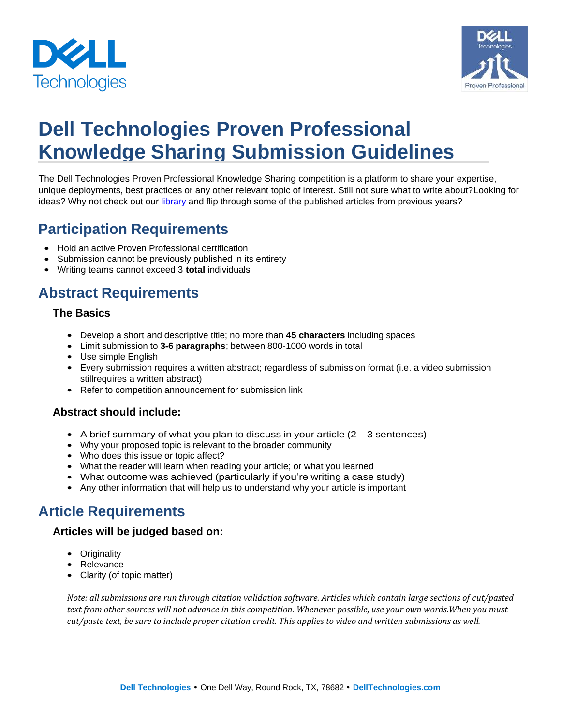



# **Dell Technologies Proven Professional Knowledge Sharing Submission Guidelines**

The Dell Technologies Proven Professional Knowledge Sharing competition is a platform to share your expertise, unique deployments, best practices or any other relevant topic of interest. Still not sure what to write about?Looking for ideas? Why not check out our [library](https://education.emc.com/content/emc/en-us/home/certification-overview/knowledge-sharing.html) and flip through some of the published articles from previous years?

# **Participation Requirements**

- Hold an active Proven Professional certification
- Submission cannot be previously published in its entirety
- Writing teams cannot exceed 3 **total** individuals

# **Abstract Requirements**

## **The Basics**

- Develop a short and descriptive title; no more than **45 characters** including spaces
- Limit submission to **3-6 paragraphs**; between 800-1000 words in total
- Use simple English
- Every submission requires a written abstract; regardless of submission format (i.e. a video submission stillrequires a written abstract)
- Refer to competition announcement for submission link

## **Abstract should include:**

- A brief summary of what you plan to discuss in your article  $(2-3$  sentences)
- Why your proposed topic is relevant to the broader community
- Who does this issue or topic affect?
- What the reader will learn when reading your article; or what you learned
- What outcome was achieved (particularly if you're writing a case study)
- Any other information that will help us to understand why your article is important

# **Article Requirements**

#### **Articles will be judged based on:**

- Originality
- Relevance
- Clarity (of topic matter)

*Note: all submissions are run through citation validation software. Articles which contain large sections of cut/pasted text from other sources will not advance in this competition. Whenever possible, use your own words.When you must cut/paste text, be sure to include proper citation credit. This applies to video and written submissions as well.*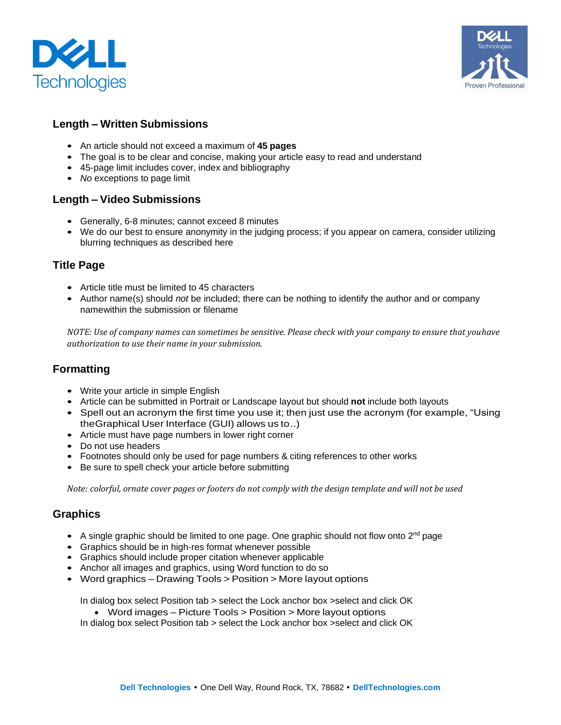



## **Length – Written Submissions**

- An article should not exceed a maximum of **45 pages**
- The goal is to be clear and concise, making your article easy to read and understand
- 45-page limit includes cover, index and bibliography
- *No* exceptions to page limit

#### **Length – Video Submissions**

- Generally, 6-8 minutes; cannot exceed 8 minutes
- We do our best to ensure anonymity in the judging process; if you appear on camera, consider utilizing blurring techniques as described [here](https://www.youtube.com/watch?v=n_X8jWng9aM)

#### **Title Page**

- Article title must be limited to 45 characters
- Author name(s) should *not* be included; there can be nothing to identify the author and or company namewithin the submission or filename

*NOTE: Use of company names can sometimes be sensitive. Please check with your company to ensure that youhave authorization to use their name in your submission.*

## **Formatting**

- Write your article in simple English
- Article can be submitted in Portrait or Landscape layout but should **not** include both layouts
- Spell out an acronym the first time you use it; then just use the acronym (for example, "Using theGraphical User Interface (GUI) allows us to..)
- Article must have page numbers in lower right corner
- Do not use headers
- Footnotes should only be used for page numbers & citing references to other works
- Be sure to spell check your article before submitting

Note: colorful, ornate cover pages or footers do not comply with the design template and will not be used

#### **Graphics**

- $\bullet$  A single graphic should be limited to one page. One graphic should not flow onto  $2^{nd}$  page
- Graphics should be in high-res format whenever possible
- Graphics should include proper citation whenever applicable
- Anchor all images and graphics, using Word function to do so
- Word graphics Drawing Tools > Position > More layout options

In dialog box select Position tab > select the Lock anchor box >select and click OK

• Word images – Picture Tools > Position > More layout options

In dialog box select Position tab > select the Lock anchor box >select and click OK